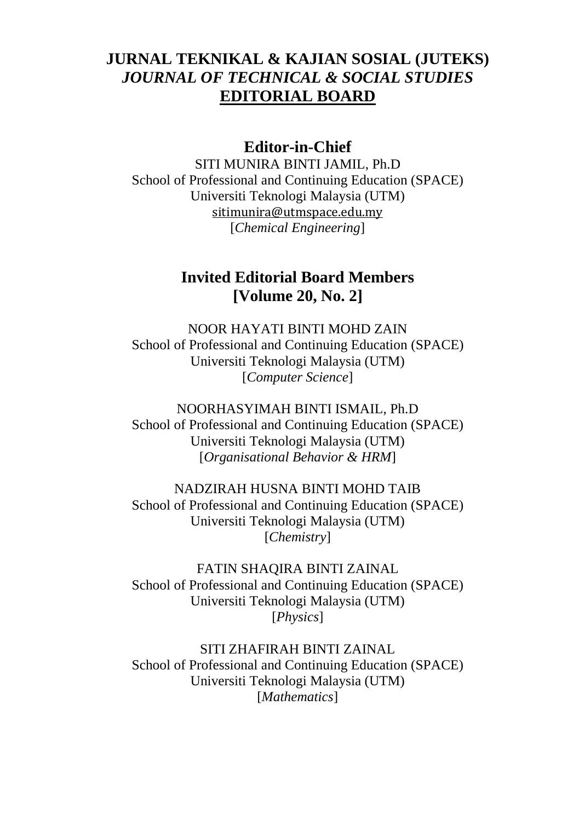## **JURNAL TEKNIKAL & KAJIAN SOSIAL (JUTEKS)** *JOURNAL OF TECHNICAL & SOCIAL STUDIES* **EDITORIAL BOARD**

#### **Editor-in-Chief**

SITI MUNIRA BINTI JAMIL, Ph.D School of Professional and Continuing Education (SPACE) Universiti Teknologi Malaysia (UTM) [sitimunira@utmspace.edu.my](mailto:sitimunira@utmspace.edu.my) [*Chemical Engineering*]

### **Invited Editorial Board Members [Volume 20, No. 2]**

NOOR HAYATI BINTI MOHD ZAIN School of Professional and Continuing Education (SPACE) Universiti Teknologi Malaysia (UTM) [*Computer Science*]

NOORHASYIMAH BINTI ISMAIL, Ph.D School of Professional and Continuing Education (SPACE) Universiti Teknologi Malaysia (UTM) [*Organisational Behavior & HRM*]

NADZIRAH HUSNA BINTI MOHD TAIB School of Professional and Continuing Education (SPACE) Universiti Teknologi Malaysia (UTM) [*Chemistry*]

FATIN SHAQIRA BINTI ZAINAL School of Professional and Continuing Education (SPACE) Universiti Teknologi Malaysia (UTM) [*Physics*]

SITI ZHAFIRAH BINTI ZAINAL School of Professional and Continuing Education (SPACE) Universiti Teknologi Malaysia (UTM) [*Mathematics*]